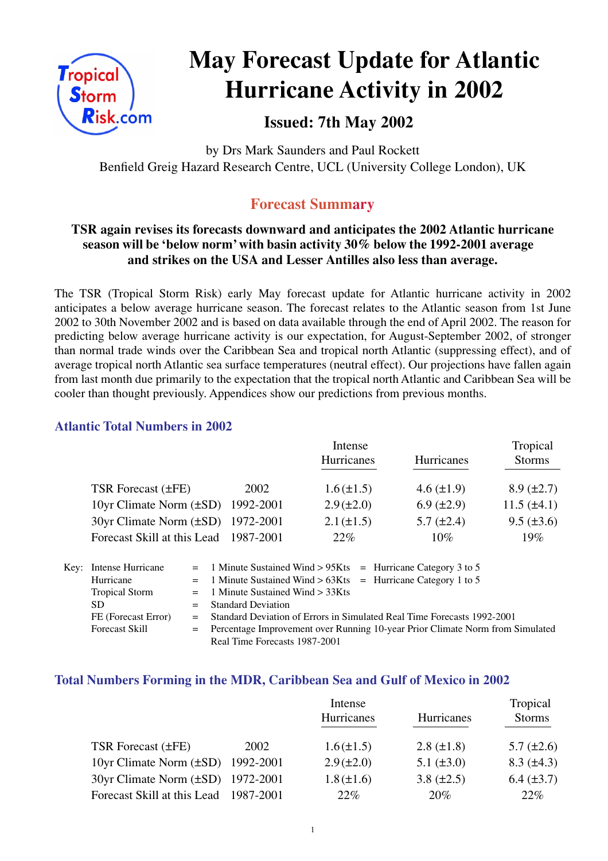

# **May Forecast Update for Atlantic Hurricane Activity in 2002**

### **Issued: 7th May 2002**

by Drs Mark Saunders and Paul Rockett Benfield Greig Hazard Research Centre, UCL (University College London), UK

### **Forecast Summary**

#### **TSR again revises its forecasts downward and anticipates the 2002 Atlantic hurricane season will be 'below norm' with basin activity 30% below the 1992-2001 average and strikes on the USA and Lesser Antilles also less than average.**

The TSR (Tropical Storm Risk) early May forecast update for Atlantic hurricane activity in 2002 anticipates a below average hurricane season. The forecast relates to the Atlantic season from 1st June 2002 to 30th November 2002 and is based on data available through the end of April 2002. The reason for predicting below average hurricane activity is our expectation, for August-September 2002, of stronger than normal trade winds over the Caribbean Sea and tropical north Atlantic (suppressing effect), and of average tropical north Atlantic sea surface temperatures (neutral effect). Our projections have fallen again from last month due primarily to the expectation that the tropical north Atlantic and Caribbean Sea will be cooler than thought previously. Appendices show our predictions from previous months.

#### **Atlantic Total Numbers in 2002**

|                                   | Intense   |                   |                   | Tropical          |  |
|-----------------------------------|-----------|-------------------|-------------------|-------------------|--|
|                                   |           | <b>Hurricanes</b> | Hurricanes        | <b>Storms</b>     |  |
| <b>TSR Forecast (±FE)</b>         | 2002      | $1.6(\pm 1.5)$    | $4.6 (\pm 1.9)$   | $8.9 \ (\pm 2.7)$ |  |
| 10yr Climate Norm $(\pm SD)$      | 1992-2001 | $2.9 (\pm 2.0)$   | $6.9 \ (\pm 2.9)$ | $11.5 (\pm 4.1)$  |  |
| 30yr Climate Norm (±SD) 1972-2001 |           | $2.1 (\pm 1.5)$   | $5.7 \ (\pm 2.4)$ | $9.5 (\pm 3.6)$   |  |
| Forecast Skill at this Lead       | 1987-2001 | $22\%$            | 10%               | 19%               |  |

| Key: Intense Hurricane | $=$ 1 Minute Sustained Wind > 95Kts $=$ Hurricane Category 3 to 5               |
|------------------------|---------------------------------------------------------------------------------|
| Hurricane              | $=$ 1 Minute Sustained Wind > 63Kts = Hurricane Category 1 to 5                 |
| <b>Tropical Storm</b>  | $=$ 1 Minute Sustained Wind $>$ 33Kts                                           |
| SD.                    | $=$ Standard Deviation                                                          |
| FE (Forecast Error)    | = Standard Deviation of Errors in Simulated Real Time Forecasts 1992-2001       |
| <b>Forecast Skill</b>  | = Percentage Improvement over Running 10-year Prior Climate Norm from Simulated |
|                        | Real Time Forecasts 1987-2001                                                   |

#### **Total Numbers Forming in the MDR, Caribbean Sea and Gulf of Mexico in 2002**

|                                          |      | Intense         | Tropical          |                   |
|------------------------------------------|------|-----------------|-------------------|-------------------|
|                                          |      | Hurricanes      | Hurricanes        | <b>Storms</b>     |
| TSR Forecast (±FE)                       | 2002 | $1.6(\pm 1.5)$  | $2.8 \ (\pm 1.8)$ | $5.7 (\pm 2.6)$   |
| 10yr Climate Norm $(\pm SD)$ 1992-2001   |      | $2.9 (\pm 2.0)$ | 5.1 $(\pm 3.0)$   | $8.3 \ (\pm 4.3)$ |
| $30yr$ Climate Norm $(\pm SD)$ 1972-2001 |      | $1.8 (\pm 1.6)$ | 3.8 $(\pm 2.5)$   | $6.4 (\pm 3.7)$   |
| Forecast Skill at this Lead 1987-2001    |      | 22%             | 20%               | $22\%$            |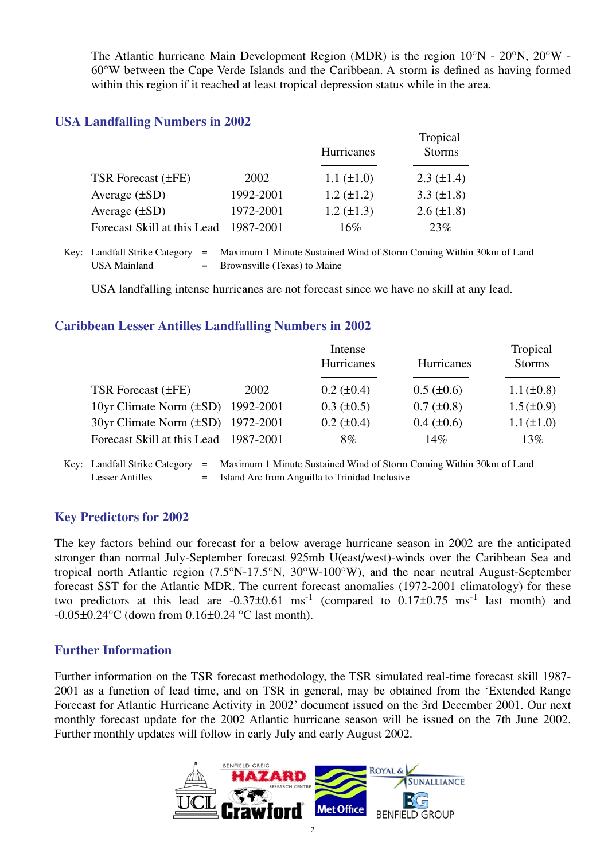The Atlantic hurricane Main Development Region (MDR) is the region 10°N - 20°N, 20°W - 60°W between the Cape Verde Islands and the Caribbean. A storm is defined as having formed within this region if it reached at least tropical depression status while in the area.

#### **USA Landfalling Numbers in 2002**

|                             |           | <b>Hurricanes</b> | Tropical<br><b>Storms</b> |
|-----------------------------|-----------|-------------------|---------------------------|
| TSR Forecast (±FE)          | 2002      | $1.1 (\pm 1.0)$   | $2.3 \ (\pm 1.4)$         |
| Average $(\pm SD)$          | 1992-2001 | $1.2 (\pm 1.2)$   | 3.3 $(\pm 1.8)$           |
| Average $(\pm SD)$          | 1972-2001 | $1.2 (\pm 1.3)$   | $2.6 (\pm 1.8)$           |
| Forecast Skill at this Lead | 1987-2001 | 16%               | 23%                       |

Key: Landfall Strike Category = Maximum 1 Minute Sustained Wind of Storm Coming Within 30km of Land USA Mainland  $=$  Brownsville (Texas) to Maine

USA landfalling intense hurricanes are not forecast since we have no skill at any lead.

#### **Caribbean Lesser Antilles Landfalling Numbers in 2002**

|                                          | Intense |                   |                   | Tropical        |
|------------------------------------------|---------|-------------------|-------------------|-----------------|
|                                          |         | Hurricanes        | Hurricanes        | <b>Storms</b>   |
|                                          |         |                   |                   |                 |
| TSR Forecast (±FE)                       | 2002    | $0.2 (\pm 0.4)$   | $0.5 (\pm 0.6)$   | $1.1 (\pm 0.8)$ |
| 10yr Climate Norm $(\pm SD)$ 1992-2001   |         | $0.3 \ (\pm 0.5)$ | $0.7 (\pm 0.8)$   | $1.5 (\pm 0.9)$ |
| $30yr$ Climate Norm $(\pm SD)$ 1972-2001 |         | $0.2 \ (\pm 0.4)$ | $0.4 \ (\pm 0.6)$ | $1.1 (\pm 1.0)$ |
| Forecast Skill at this Lead 1987-2001    |         | 8%                | 14%               | 13%             |
|                                          |         |                   |                   |                 |

Key: Landfall Strike Category = Maximum 1 Minute Sustained Wind of Storm Coming Within 30km of Land Lesser Antilles  $=$  Island Arc from Anguilla to Trinidad Inclusive

#### **Key Predictors for 2002**

The key factors behind our forecast for a below average hurricane season in 2002 are the anticipated stronger than normal July-September forecast 925mb U(east/west)-winds over the Caribbean Sea and tropical north Atlantic region (7.5°N-17.5°N, 30°W-100°W), and the near neutral August-September forecast SST for the Atlantic MDR. The current forecast anomalies (1972-2001 climatology) for these two predictors at this lead are  $-0.37\pm0.61$  ms<sup>-1</sup> (compared to  $0.17\pm0.75$  ms<sup>-1</sup> last month) and  $-0.05\pm0.24$ °C (down from 0.16 $\pm0.24$ °C last month).

#### **Further Information**

Further information on the TSR forecast methodology, the TSR simulated real-time forecast skill 1987- 2001 as a function of lead time, and on TSR in general, may be obtained from the 'Extended Range Forecast for Atlantic Hurricane Activity in 2002' document issued on the 3rd December 2001. Our next monthly forecast update for the 2002 Atlantic hurricane season will be issued on the 7th June 2002. Further monthly updates will follow in early July and early August 2002.

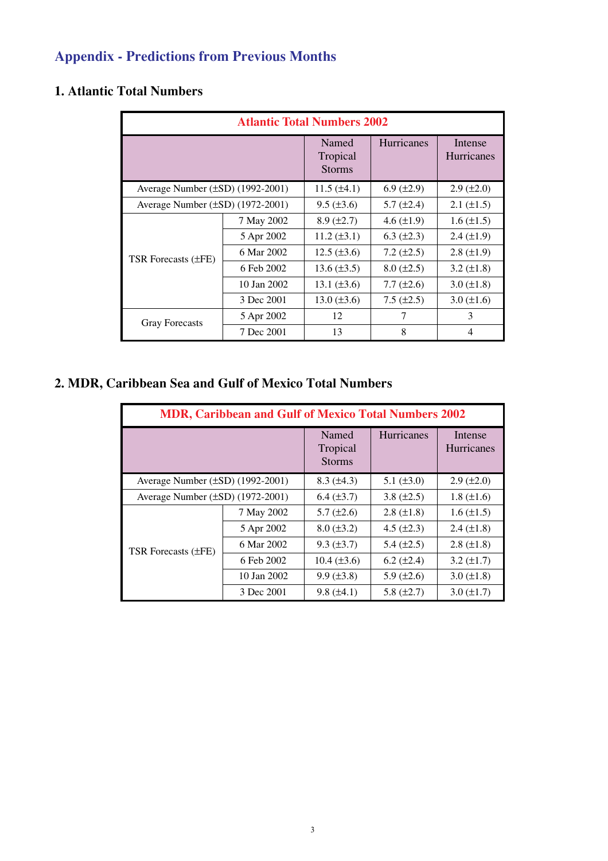# **Appendix - Predictions from Previous Months**

### **1. Atlantic Total Numbers**

| <b>Atlantic Total Numbers 2002</b>    |             |                                    |                   |                       |  |
|---------------------------------------|-------------|------------------------------------|-------------------|-----------------------|--|
|                                       |             | Named<br>Tropical<br><b>Storms</b> | Hurricanes        | Intense<br>Hurricanes |  |
| Average Number $(\pm SD)$ (1992-2001) |             | $11.5 (\pm 4.1)$                   | $6.9 \ (\pm 2.9)$ | $2.9 \ (\pm 2.0)$     |  |
| Average Number $(\pm SD)$ (1972-2001) |             | $9.5 (\pm 3.6)$                    | $5.7 (\pm 2.4)$   | $2.1 (\pm 1.5)$       |  |
| TSR Forecasts $(\pm FE)$              | 7 May 2002  | $8.9 \ (\pm 2.7)$                  | 4.6 $(\pm 1.9)$   | $1.6 \ (\pm 1.5)$     |  |
|                                       | 5 Apr 2002  | $11.2 (\pm 3.1)$                   | $6.3 \ (\pm 2.3)$ | $2.4 (\pm 1.9)$       |  |
|                                       | 6 Mar 2002  | $12.5 (\pm 3.6)$                   | $7.2 (\pm 2.5)$   | $2.8 \ (\pm 1.9)$     |  |
|                                       | 6 Feb 2002  | $13.6 (\pm 3.5)$                   | $8.0 (\pm 2.5)$   | 3.2 $(\pm 1.8)$       |  |
|                                       | 10 Jan 2002 | 13.1 $(\pm 3.6)$                   | $7.7 (\pm 2.6)$   | $3.0 (\pm 1.8)$       |  |
|                                       | 3 Dec 2001  | 13.0 $(\pm 3.6)$                   | $7.5 \ (\pm 2.5)$ | $3.0 (\pm 1.6)$       |  |
| <b>Gray Forecasts</b>                 | 5 Apr 2002  | 12                                 | 7                 | 3                     |  |
|                                       | 7 Dec 2001  | 13                                 | 8                 | $\overline{4}$        |  |

### **2. MDR, Caribbean Sea and Gulf of Mexico Total Numbers**

| <b>MDR, Caribbean and Gulf of Mexico Total Numbers 2002</b> |             |                                    |                   |                       |  |
|-------------------------------------------------------------|-------------|------------------------------------|-------------------|-----------------------|--|
|                                                             |             | Named<br>Tropical<br><b>Storms</b> | <b>Hurricanes</b> | Intense<br>Hurricanes |  |
| Average Number $(\pm SD)$ (1992-2001)                       |             | $8.3 \ (\pm 4.3)$                  | 5.1 $(\pm 3.0)$   | $2.9 \ (\pm 2.0)$     |  |
| Average Number (±SD) (1972-2001)                            |             | $6.4 (\pm 3.7)$                    | 3.8 $(\pm 2.5)$   | $1.8 (\pm 1.6)$       |  |
| TSR Forecasts $(\pm FE)$                                    | 7 May 2002  | $5.7 \ (\pm 2.6)$                  | $2.8 \ (\pm 1.8)$ | $1.6 (\pm 1.5)$       |  |
|                                                             | 5 Apr 2002  | $8.0 (\pm 3.2)$                    | 4.5 $(\pm 2.3)$   | $2.4 \ (\pm 1.8)$     |  |
|                                                             | 6 Mar 2002  | $9.3 (\pm 3.7)$                    | 5.4 $(\pm 2.5)$   | $2.8 (\pm 1.8)$       |  |
|                                                             | 6 Feb 2002  | $10.4 (\pm 3.6)$                   | $6.2 (\pm 2.4)$   | $3.2 \ (\pm 1.7)$     |  |
|                                                             | 10 Jan 2002 | $9.9 (\pm 3.8)$                    | 5.9 $(\pm 2.6)$   | $3.0 (\pm 1.8)$       |  |
|                                                             | 3 Dec 2001  | $9.8 (\pm 4.1)$                    | 5.8 $(\pm 2.7)$   | $3.0 (\pm 1.7)$       |  |